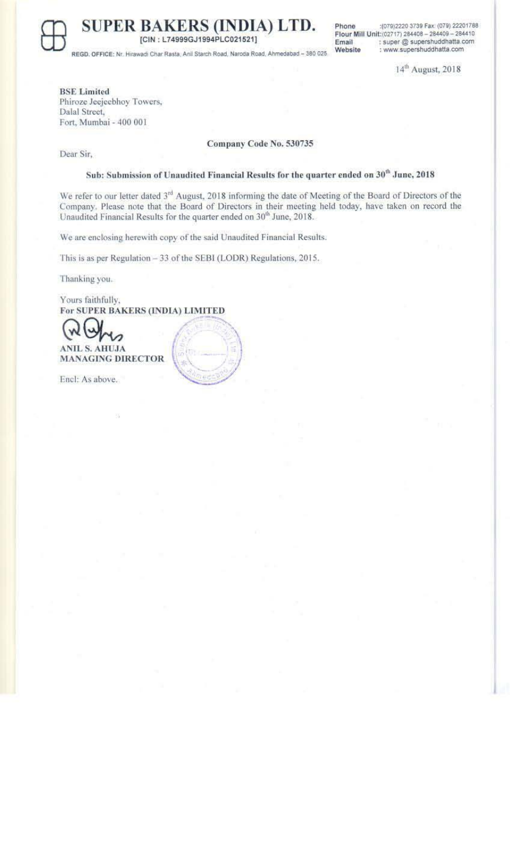**SUPER BAKERS (INDIA) LTD.** [CIN: L74999GJ1994PLC021521]

REGD, OFFICE: Nr. Hirawadi Char Rasta, Anil Starch Road, Naroda Road, Ahmedabad - 380 025

Phone :(079)2220 3739 Fax: (079) 22201788 Flour Mill Unit: (02717) 284408 - 284409 - 284410 Email : super @ supershuddhatta.com : www.supershuddhatta.com Website

14<sup>th</sup> August, 2018

**BSE** Limited Phiroze Jeejeebhoy Towers, Dalal Street,

Fort, Mumbai - 400 001

Company Code No. 530735

Dear Sir,

### Sub: Submission of Unaudited Financial Results for the quarter ended on 30<sup>th</sup> June, 2018

We refer to our letter dated 3<sup>rd</sup> August, 2018 informing the date of Meeting of the Board of Directors of the Company. Please note that the Board of Directors in their meeting held today, have taken on record the Unaudited Financial Results for the quarter ended on 30<sup>th</sup> June, 2018.

We are enclosing herewith copy of the said Unaudited Financial Results.

This is as per Regulation - 33 of the SEBI (LODR) Regulations, 2015.

Thanking you.

Yours faithfully, For SUPER BAKERS (INDIA) LIMITED

**ANIL S. AHUJA MANAGING DIRECTOR** 

Encl: As above.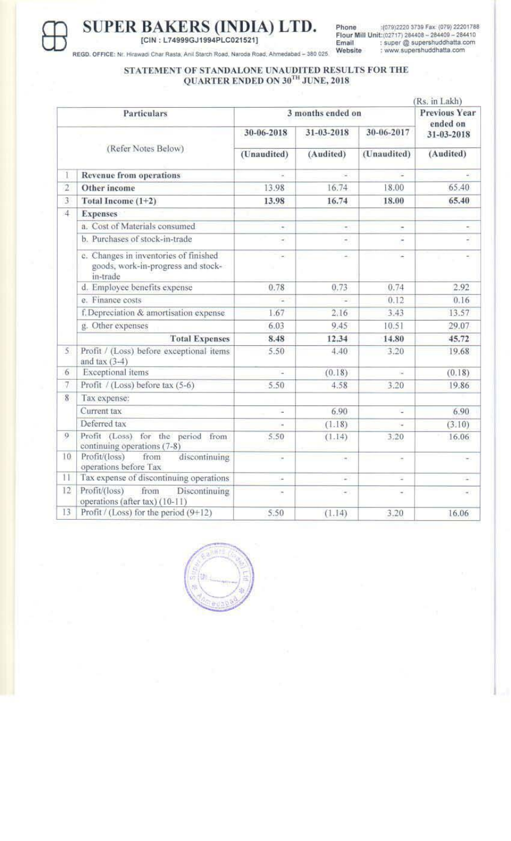

# SUPER BAKERS (INDIA) LTD.

Phone :(079)2220 3739 Fax (079) 22201788<br>Flour Mill Unit:(02717) 284408 - 284409 - 284410<br>Email : super @ supershuddhatta.com<br>Website : www.supershuddhatta.com

REGD. OFFICE: Nr. Hirawadi Char Rasta, Anil Starch Road, Naroda Road, Ahmedabad - 380 025.

## STATEMENT OF STANDALONE UNAUDITED RESULTS FOR THE QUARTER ENDED ON  $30^{\mathrm{TH}}$  JUNE, 2018

|                     |                                                                                         |                          |                                   |                | $(Rs.$ in Lakh $)$     |  |
|---------------------|-----------------------------------------------------------------------------------------|--------------------------|-----------------------------------|----------------|------------------------|--|
| <b>Particulars</b>  |                                                                                         | 3 months ended on        |                                   |                | <b>Previous Year</b>   |  |
|                     |                                                                                         | 30-06-2018               | 31-03-2018                        | 30-06-2017     | ended on<br>31-03-2018 |  |
| (Refer Notes Below) |                                                                                         | (Unaudited)              | (Audited)                         | (Unaudited)    | (Audited)              |  |
| 1                   | <b>Revenue from operations</b>                                                          |                          | $\sim$                            |                |                        |  |
| $\overline{2}$      | Other income                                                                            | 13.98                    | 16.74                             | 18.00          | 65.40                  |  |
| 3                   | Total Income (1+2)                                                                      | 13.98                    | 16.74                             | 18.00          | 65.40                  |  |
| $\overline{4}$      | <b>Expenses</b>                                                                         |                          |                                   |                |                        |  |
|                     | a. Cost of Materials consumed                                                           | ۰                        | $\overline{\phantom{a}}$          | ۰              |                        |  |
|                     | b. Purchases of stock-in-trade                                                          | ٠                        | ۰                                 |                |                        |  |
|                     | c. Changes in inventories of finished<br>goods, work-in-progress and stock-<br>in-trade | ×                        | ×.                                |                |                        |  |
|                     | d. Employee benefits expense                                                            | 0.78                     | 0.73                              | 0.74           | 2.92                   |  |
|                     | e. Finance costs                                                                        | a,                       | ÷                                 | 0.12           | 0.16                   |  |
|                     | f. Depreciation & amortisation expense                                                  | 1.67                     | 2.16                              | 3.43           | 13.57                  |  |
|                     | g. Other expenses                                                                       | 6.03                     | 9.45                              | 10.51          | 29.07                  |  |
|                     | <b>Total Expenses</b>                                                                   | 8.48                     | 12.34                             | 14.80          | 45.72                  |  |
| 5.                  | Profit / (Loss) before exceptional items<br>and tax $(3-4)$                             | 5.50                     | 4.40                              | 3.20           | 19.68                  |  |
| 6                   | Exceptional items                                                                       | ÷.                       | (0.18)                            | 읧              | (0.18)                 |  |
| $\overline{7}$      | Profit / (Loss) before tax (5-6)                                                        | 5.50                     | 4.58                              | 3.20           | 19.86                  |  |
| 8                   | Tax expense:                                                                            |                          |                                   |                |                        |  |
|                     | Current tax                                                                             | u.                       | 6.90                              | e.             | 6.90                   |  |
|                     | Deferred tax                                                                            |                          | (1.18)                            |                | (3.10)                 |  |
| 9                   | Profit (Loss) for the period from<br>continuing operations (7-8)                        | 5.50                     | (1.14)                            | 3.20           | 16.06                  |  |
| 10                  | Profit/(loss)<br>discontinuing<br>from<br>operations before Tax                         | $\overline{\phantom{a}}$ | $\left\vert \psi\right\vert \leq$ | $\omega$       | ×,                     |  |
| 11                  | Tax expense of discontinuing operations                                                 | ÷                        | $\sim$                            | $\overline{a}$ | ÷                      |  |
| 12                  | Profit/(loss)<br>from<br>Discontinuing<br>operations (after tax) (10-11)                |                          | $\sim$                            |                | $\sim$                 |  |
| 13                  | Profit / (Loss) for the period $(9+12)$                                                 | 5.50                     | (1.14)                            | 3.20           | 16.06                  |  |
|                     |                                                                                         |                          |                                   |                |                        |  |

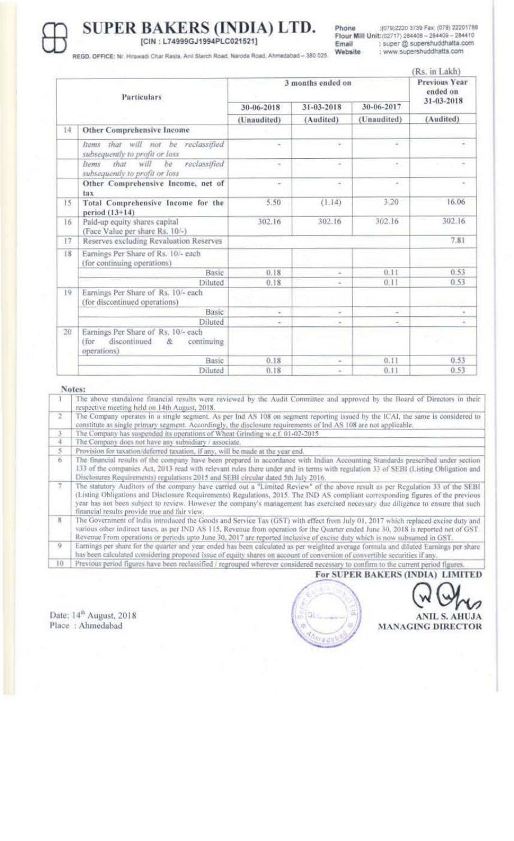

## SUPER BAKERS (INDIA) LTD. [CIN: L74999GJ1994PLC021521]

:(079)2220 3739 Fax: (079) 22201788 Phone Flour Mill Unit: (02717) 284408 - 284409 - 284410 : super @ supershuddhatta.com Email : www.supershuddhatta.com Website

REGD, OFFICE: Nr. Hirawadi Char Rasta, Anil Starch Road, Naroda Road, Ahmedabad - 380 025

|             |                                                                                               |                   |                     |                     | Rs. in Lakh)                                   |
|-------------|-----------------------------------------------------------------------------------------------|-------------------|---------------------|---------------------|------------------------------------------------|
| Particulars |                                                                                               | 3 months ended on |                     |                     | <b>Previous Year</b><br>ended on<br>31-03-2018 |
|             |                                                                                               | 30-06-2018        | 31-03-2018          | 30-06-2017          |                                                |
|             |                                                                                               | (Unaudited)       | (Audited)           | (Unaudited)         | (Audited)                                      |
| 14          | Other Comprehensive Income                                                                    |                   |                     |                     |                                                |
|             | Items that will not be<br>reclassified<br>subsequently to profit or loss                      |                   | $\scriptstyle\rm m$ | $\scriptstyle\star$ |                                                |
|             | that<br>will<br>reclassified<br>bе<br>liems<br>subsequently to profit or loss                 | w.                | $\sim$              | Ŧ.                  | $\alpha$                                       |
|             | Other Comprehensive Income, net of<br>tax                                                     | $\equiv$          | $\sim$              | $\sim$              | $\sim$                                         |
| 15          | Total Comprehensive Income for the<br>period (13+14)                                          | 5.50              | (1.14)              | 3.20                | 16.06                                          |
| 16          | Paid-up equity shares capital<br>(Face Value per share Rs. 10/-)                              | 302.16            | 302.16              | 302.16              | 302.16                                         |
| 17          | Reserves excluding Revaluation Reserves                                                       |                   |                     |                     | 7.81                                           |
| 18          | Earnings Per Share of Rs. 10/- each<br>(for continuing operations)                            |                   |                     |                     |                                                |
|             | Basic                                                                                         | 0.18              | $\sim$              | 0.11                | 0.53                                           |
|             | Diluted                                                                                       | 0.18              | $\sim$              | 0.11                | 0.53                                           |
| 19          | Earnings Per Share of Rs. 10/- each<br>(for discontinued operations)                          |                   |                     |                     |                                                |
|             | Basic                                                                                         | ×                 | $\sim$              | ۰                   | $\alpha$                                       |
|             | Diluted                                                                                       | ÷                 | $\sim$              | $\sim$              | ٠                                              |
| 20          | Earnings Per Share of Rs. 10/- each<br>discontinued<br>(for<br>表<br>continuing<br>operations) |                   |                     |                     |                                                |
|             | Basic                                                                                         | 0.18              | $\sim$              | 0.11                | 0.53                                           |
|             | Diluted                                                                                       | 0.18              | ۰                   | 0.11                | 0.53                                           |

#### Notes:

The above standalone financial results were reviewed by the Audit Committee and approved by the Board of Directors in their respective meeting held on 14th August, 2018. ö The Company operates in a single segment. As per Ind AS 108 on segment reporting issued by the ICAI, the same is considered to constitute as single primary segment. Accordingly, the disclosure requirements of Ind AS 108 are not applicable. The Company has suspended its operations of Wheat Grinding w.e.f. 01-02-2015 ž The Company does not have any subsidiary / associate. Provision for taxation/deferred taxation, if any, will be made at the year end 5  $\overline{6}$ The financial results of the company have been prepared in accordance with Indian Accounting Standards prescribed under section 133 of the companies Act, 2013 read with relevant rules there under and in terms with regulation 33 of SEBI (Listing Obligation and Disclosures Requirements) regulations 2015 and SEBI circular dated 5th July 2016.<br>The statutory Auditors of the company have carried out a "Limited Review" of the above result as per Regulation 33 of the SEBI<br>(Listing Obli year has not been subject to review. However the company's management has exercised necessary due diligence to ensure that such financial results provide true and fair view. 8 The Government of India introduced the Goods and Service Tax (GST) with effect from July 01, 2017 which replaced excise duty and various other indirect taxes, as per IND AS 115, Revenue from operation for the Quarter ended June 30, 2018 is reported net of GST. Revenue From operations or periods upto June 30, 2017 are reported inclusive of excise duty which is now subsumed in GST.  $\overline{Q}$ Earnings per share for the quarter and year ended has been calculated as per weighted average formula and diluted Earnings per share has been calculated considering proposed issue of equity shares on account of conversion of convertible securities if any. Previous period figures have been reclassified / regrouped wherever considered necessary to confirm to the current period figures.  $10$ For SUPER BAKERS (INDIA) LIMITED

Date: 14<sup>th</sup> August, 2018 Place: Ahmedabad



**ANIL S. AHUJA MANAGING DIRECTOR**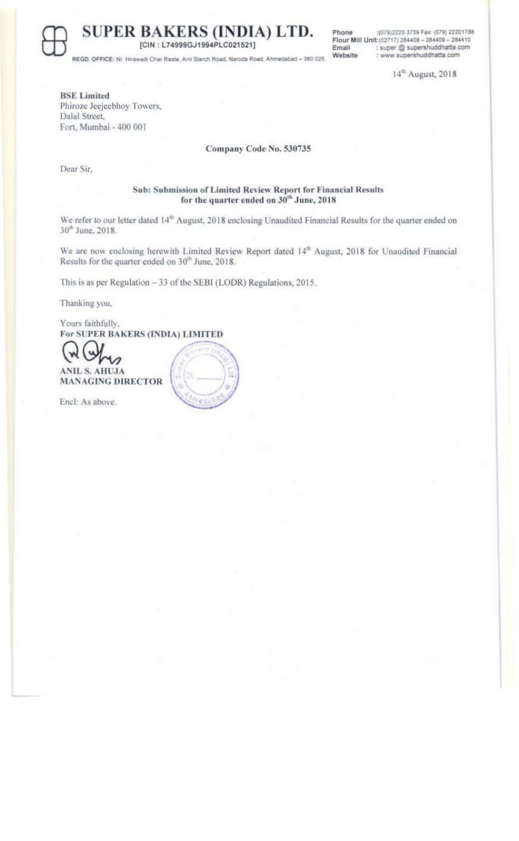

**SUPER BAKERS (INDIA) LTD.** [CIN: L74999GJ1994PLC021521]

Phone :(079)2220 3739 Fax: (079) 22201788 Flour Mill Unit:(02717) 284408 - 284409 - 284410<br>Email : super @ supershuddhatta.com<br>Website : www.supershuddhatta.com

14<sup>th</sup> August, 2018

REGO. OFFICE: Nr. Hirawa di Char Rasta, Anii Starch Road, Naroda Road, Ahmedabad - 380 025

**BSE** Limited Phiroze Jeejeebhoy Towers, Dalal Street, Fort, Mumbai - 400 001

Company Code No. 530735

Dear Sir,

Sub: Submission of Limited Review Report for Financial Results for the quarter ended on 30<sup>th</sup> June, 2018

We refer to our letter dated 14<sup>th</sup> August, 2018 enclosing Unaudited Financial Results for the quarter ended on 30<sup>th</sup> June, 2018.

We are now enclosing herewith Limited Review Report dated 14<sup>th</sup> August, 2018 for Unaudited Financial Results for the quarter ended on 30<sup>th</sup> June, 2018.

This is as per Regulation - 33 of the SEBI (LODR) Regulations, 2015.

Thanking you,

Yours faithfully, For SUPER BAKERS (INDIA) LIMITED



Encl: As above.